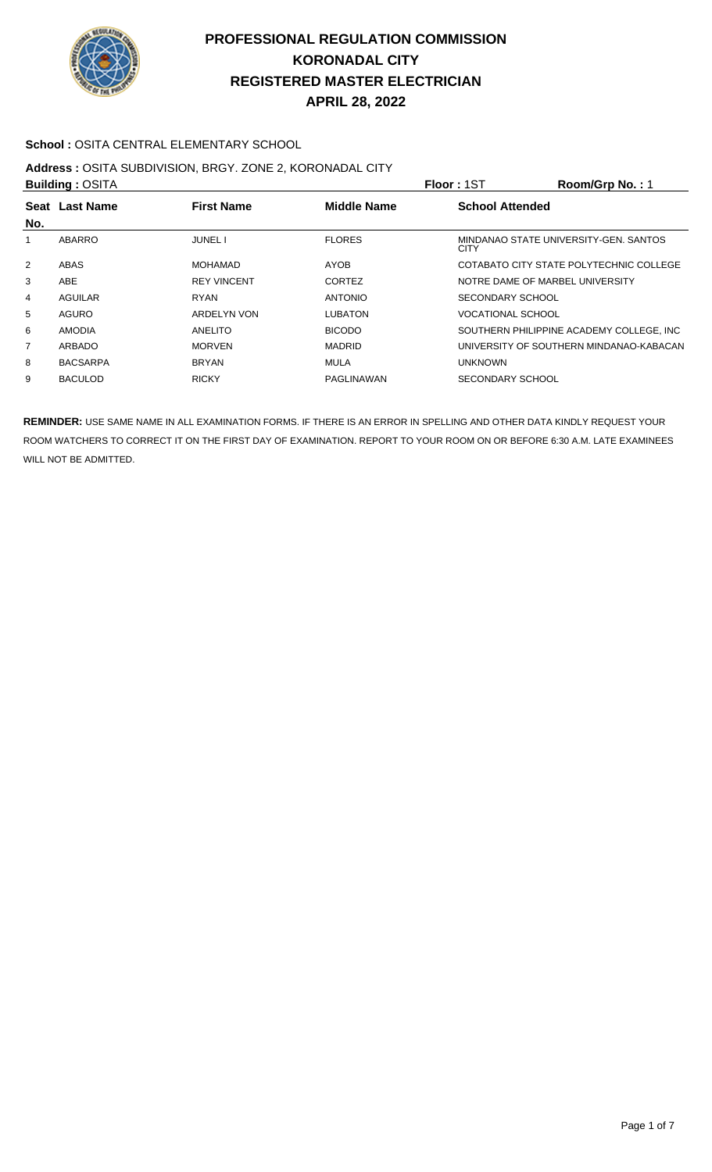

### **School :** OSITA CENTRAL ELEMENTARY SCHOOL

# **Address :** OSITA SUBDIVISION, BRGY. ZONE 2, KORONADAL CITY

| <b>Building: OSITA</b> |                 |                    |                    | Floor: 1ST                                           | Room/Grp No.: 1 |
|------------------------|-----------------|--------------------|--------------------|------------------------------------------------------|-----------------|
|                        | Seat Last Name  | <b>First Name</b>  | <b>Middle Name</b> | <b>School Attended</b>                               |                 |
| No.                    |                 |                    |                    |                                                      |                 |
| 1                      | ABARRO          | <b>JUNEL I</b>     | <b>FLORES</b>      | MINDANAO STATE UNIVERSITY-GEN. SANTOS<br><b>CITY</b> |                 |
| 2                      | ABAS            | <b>MOHAMAD</b>     | <b>AYOB</b>        | COTABATO CITY STATE POLYTECHNIC COLLEGE              |                 |
| 3                      | ABE             | <b>REY VINCENT</b> | <b>CORTEZ</b>      | NOTRE DAME OF MARBEL UNIVERSITY                      |                 |
| 4                      | AGUILAR         | <b>RYAN</b>        | <b>ANTONIO</b>     | SECONDARY SCHOOL                                     |                 |
| 5                      | AGURO           | ARDELYN VON        | <b>LUBATON</b>     | <b>VOCATIONAL SCHOOL</b>                             |                 |
| 6                      | <b>AMODIA</b>   | ANELITO            | <b>BICODO</b>      | SOUTHERN PHILIPPINE ACADEMY COLLEGE. INC             |                 |
| 7                      | ARBADO          | <b>MORVEN</b>      | <b>MADRID</b>      | UNIVERSITY OF SOUTHERN MINDANAO-KABACAN              |                 |
| 8                      | <b>BACSARPA</b> | <b>BRYAN</b>       | <b>MULA</b>        | <b>UNKNOWN</b>                                       |                 |
| 9                      | <b>BACULOD</b>  | <b>RICKY</b>       | PAGLINAWAN         | SECONDARY SCHOOL                                     |                 |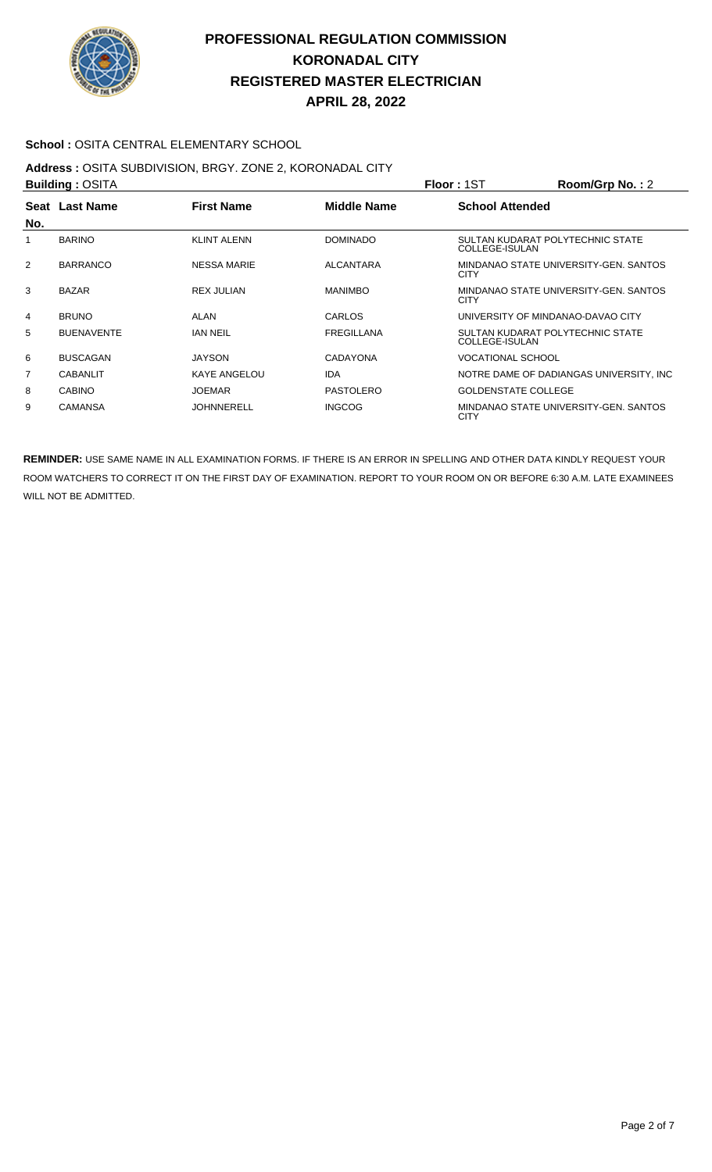

### **School :** OSITA CENTRAL ELEMENTARY SCHOOL

# **Address :** OSITA SUBDIVISION, BRGY. ZONE 2, KORONADAL CITY

| <b>Building: OSITA</b> |                                                           |                     |                        | <b>Floor: 1ST</b>          | Room/Grp No.: 2                          |
|------------------------|-----------------------------------------------------------|---------------------|------------------------|----------------------------|------------------------------------------|
|                        | <b>First Name</b><br><b>Middle Name</b><br>Seat Last Name |                     | <b>School Attended</b> |                            |                                          |
| No.                    |                                                           |                     |                        |                            |                                          |
|                        | <b>BARINO</b>                                             | <b>KLINT ALENN</b>  | <b>DOMINADO</b>        | COLLEGE-ISULAN             | SULTAN KUDARAT POLYTECHNIC STATE         |
| $\overline{2}$         | <b>BARRANCO</b>                                           | <b>NESSA MARIE</b>  | <b>ALCANTARA</b>       | <b>CITY</b>                | MINDANAO STATE UNIVERSITY-GEN. SANTOS    |
| 3                      | <b>BAZAR</b>                                              | <b>REX JULIAN</b>   | <b>MANIMBO</b>         | <b>CITY</b>                | MINDANAO STATE UNIVERSITY-GEN. SANTOS    |
| 4                      | <b>BRUNO</b>                                              | ALAN                | CARLOS                 |                            | UNIVERSITY OF MINDANAO-DAVAO CITY        |
| 5                      | <b>BUENAVENTE</b>                                         | <b>IAN NEIL</b>     | <b>FREGILLANA</b>      | COLLEGE-ISULAN             | SULTAN KUDARAT POLYTECHNIC STATE         |
| 6                      | <b>BUSCAGAN</b>                                           | <b>JAYSON</b>       | <b>CADAYONA</b>        | <b>VOCATIONAL SCHOOL</b>   |                                          |
| 7                      | <b>CABANLIT</b>                                           | <b>KAYE ANGELOU</b> | <b>IDA</b>             |                            | NOTRE DAME OF DADIANGAS UNIVERSITY. INC. |
| 8                      | <b>CABINO</b>                                             | <b>JOEMAR</b>       | PASTOLERO              | <b>GOLDENSTATE COLLEGE</b> |                                          |
| 9                      | <b>CAMANSA</b>                                            | <b>JOHNNERELL</b>   | <b>INGCOG</b>          | <b>CITY</b>                | MINDANAO STATE UNIVERSITY-GEN. SANTOS    |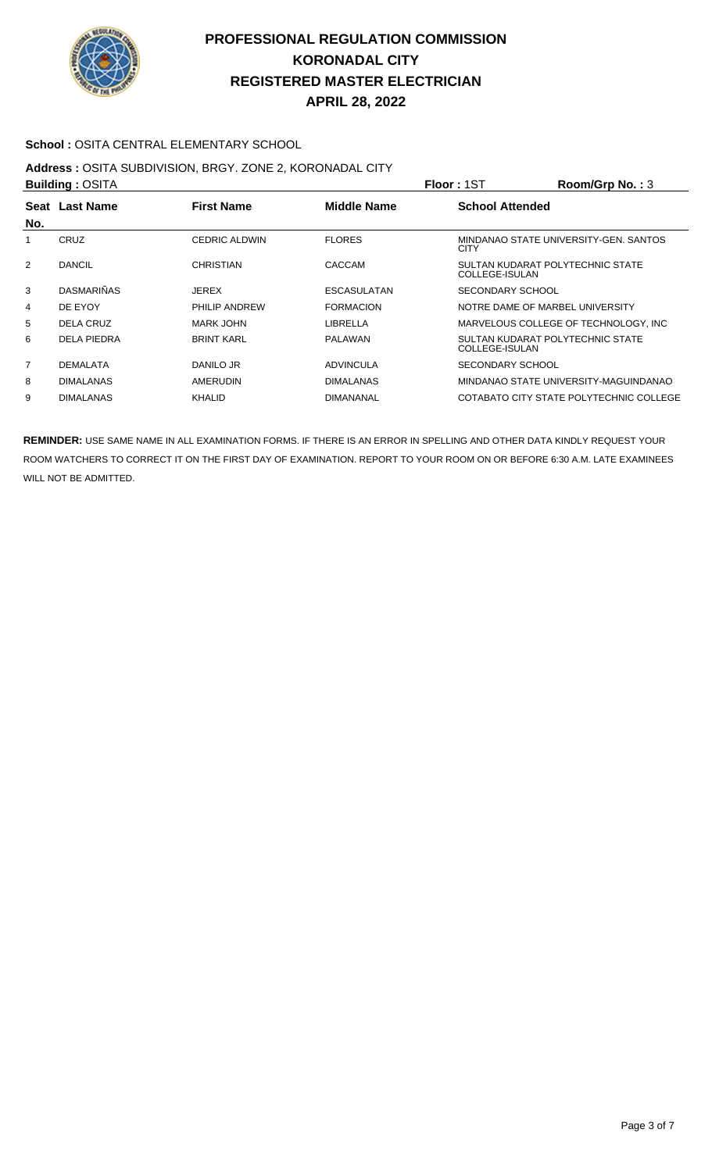

### **School :** OSITA CENTRAL ELEMENTARY SCHOOL

### **Address :** OSITA SUBDIVISION, BRGY. ZONE 2, KORONADAL CITY

|     | <b>Building: OSITA</b> |                      |                    | Floor: 1ST                                         | Room/Grp No.: 3                         |
|-----|------------------------|----------------------|--------------------|----------------------------------------------------|-----------------------------------------|
|     | Seat Last Name         | <b>First Name</b>    | <b>Middle Name</b> | <b>School Attended</b>                             |                                         |
| No. |                        |                      |                    |                                                    |                                         |
|     | CRUZ                   | <b>CEDRIC ALDWIN</b> | <b>FLORES</b>      | <b>CITY</b>                                        | MINDANAO STATE UNIVERSITY-GEN. SANTOS   |
| 2   | <b>DANCIL</b>          | <b>CHRISTIAN</b>     | CACCAM             | SULTAN KUDARAT POLYTECHNIC STATE<br>COLLEGE-ISULAN |                                         |
| 3   | <b>DASMARIÑAS</b>      | <b>JEREX</b>         | <b>ESCASULATAN</b> | SECONDARY SCHOOL                                   |                                         |
| 4   | DE EYOY                | PHILIP ANDREW        | <b>FORMACION</b>   | NOTRE DAME OF MARBEL UNIVERSITY                    |                                         |
| 5   | DELA CRUZ              | MARK JOHN            | LIBRELLA           |                                                    | MARVELOUS COLLEGE OF TECHNOLOGY. INC    |
| 6   | <b>DELA PIEDRA</b>     | <b>BRINT KARL</b>    | PALAWAN            | SULTAN KUDARAT POLYTECHNIC STATE<br>COLLEGE-ISULAN |                                         |
| 7   | <b>DEMALATA</b>        | DANILO JR            | <b>ADVINCULA</b>   | <b>SECONDARY SCHOOL</b>                            |                                         |
| 8   | <b>DIMALANAS</b>       | AMERUDIN             | <b>DIMALANAS</b>   |                                                    | MINDANAO STATE UNIVERSITY-MAGUINDANAO   |
| 9   | <b>DIMALANAS</b>       | KHALID               | <b>DIMANANAL</b>   |                                                    | COTABATO CITY STATE POLYTECHNIC COLLEGE |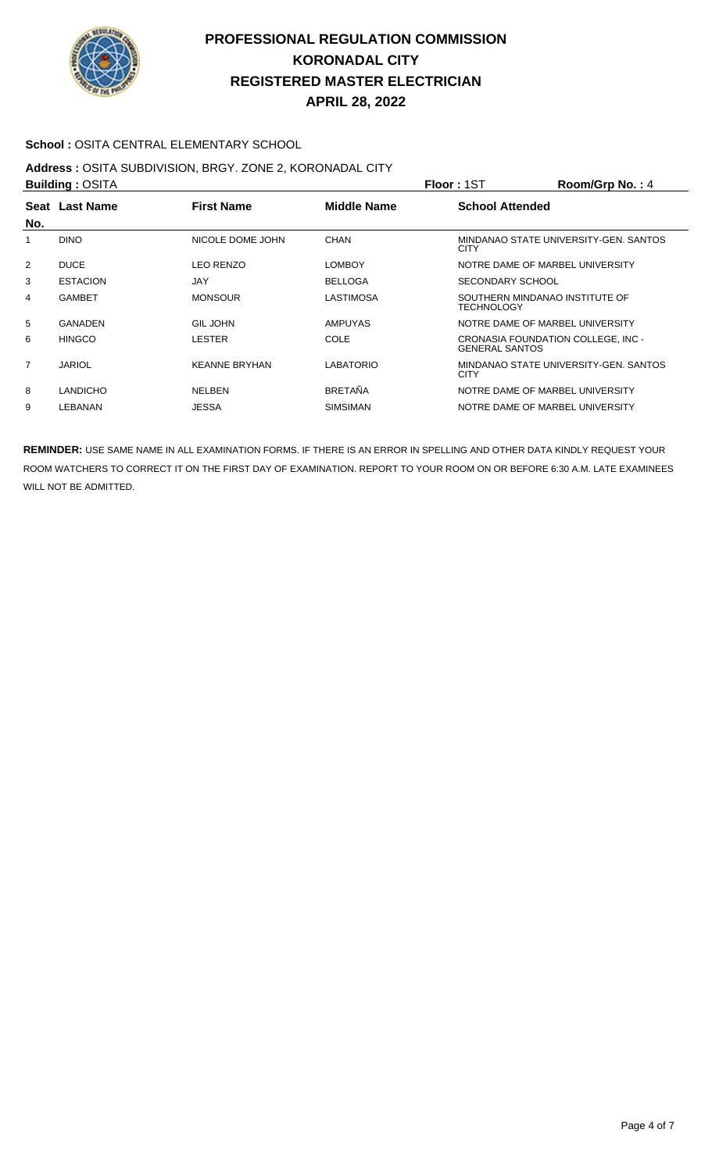

### **School : OSITA CENTRAL ELEMENTARY SCHOOL**

# **Address :** OSITA SUBDIVISION, BRGY. ZONE 2, KORONADAL CITY

| <b>Building: OSITA</b> |                 |                      |                    | <b>Floor: 1ST</b>                                           | Room/Grp No.: 4                       |
|------------------------|-----------------|----------------------|--------------------|-------------------------------------------------------------|---------------------------------------|
| No.                    | Seat Last Name  | <b>First Name</b>    | <b>Middle Name</b> | <b>School Attended</b>                                      |                                       |
| 1                      | <b>DINO</b>     | NICOLE DOME JOHN     | <b>CHAN</b>        | <b>CITY</b>                                                 | MINDANAO STATE UNIVERSITY-GEN, SANTOS |
| 2                      | <b>DUCE</b>     | <b>LEO RENZO</b>     | <b>LOMBOY</b>      | NOTRE DAME OF MARBEL UNIVERSITY                             |                                       |
| 3                      | <b>ESTACION</b> | JAY                  | <b>BELLOGA</b>     | SECONDARY SCHOOL                                            |                                       |
| 4                      | <b>GAMBET</b>   | <b>MONSOUR</b>       | LASTIMOSA          | SOUTHERN MINDANAO INSTITUTE OF<br><b>TECHNOLOGY</b>         |                                       |
| 5                      | <b>GANADEN</b>  | <b>GIL JOHN</b>      | <b>AMPUYAS</b>     | NOTRE DAME OF MARBEL UNIVERSITY                             |                                       |
| 6                      | <b>HINGCO</b>   | <b>LESTER</b>        | <b>COLE</b>        | CRONASIA FOUNDATION COLLEGE, INC -<br><b>GENERAL SANTOS</b> |                                       |
| $\overline{7}$         | <b>JARIOL</b>   | <b>KEANNE BRYHAN</b> | <b>LABATORIO</b>   | <b>CITY</b>                                                 | MINDANAO STATE UNIVERSITY-GEN. SANTOS |
| 8                      | <b>LANDICHO</b> | <b>NELBEN</b>        | <b>BRETAÑA</b>     | NOTRE DAME OF MARBEL UNIVERSITY                             |                                       |
| 9                      | LEBANAN         | JESSA                | <b>SIMSIMAN</b>    | NOTRE DAME OF MARBEL UNIVERSITY                             |                                       |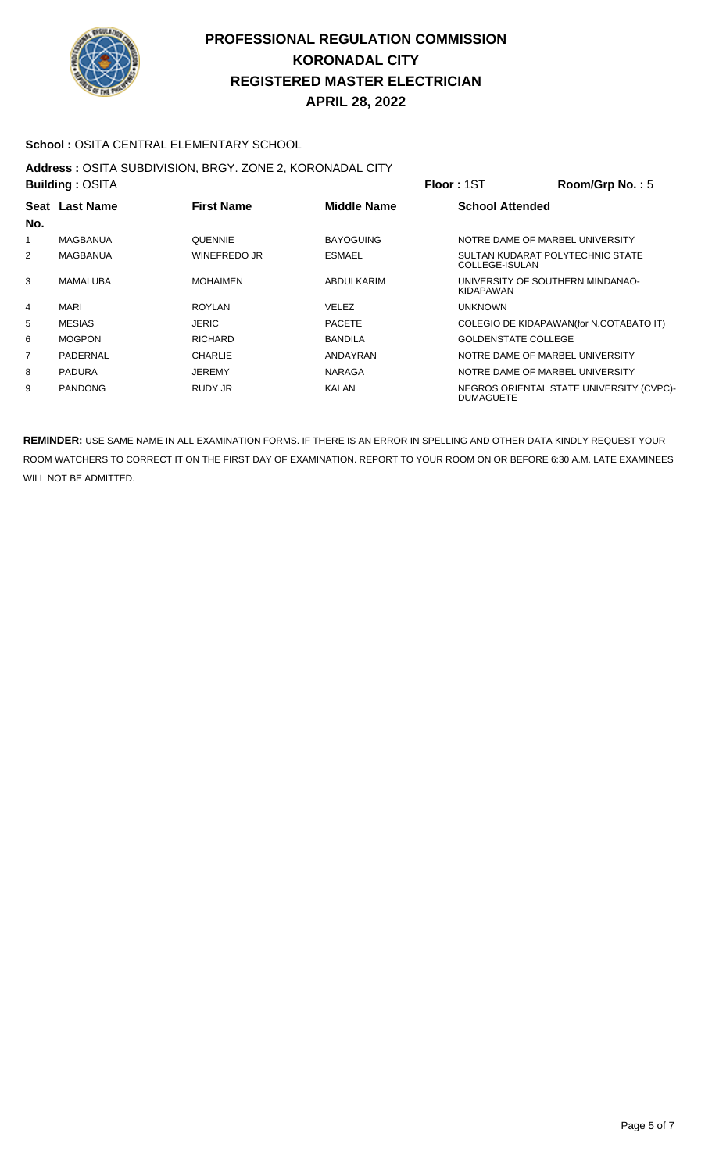

### **School :** OSITA CENTRAL ELEMENTARY SCHOOL

# **Address :** OSITA SUBDIVISION, BRGY. ZONE 2, KORONADAL CITY

| <b>Building: OSITA</b> |                |                   | Floor: 1ST         | Room/Grp No.: $5$          |                                          |
|------------------------|----------------|-------------------|--------------------|----------------------------|------------------------------------------|
|                        | Seat Last Name | <b>First Name</b> | <b>Middle Name</b> | <b>School Attended</b>     |                                          |
| No.                    |                |                   |                    |                            |                                          |
|                        | MAGBANUA       | <b>QUENNIE</b>    | <b>BAYOGUING</b>   |                            | NOTRE DAME OF MARBEL UNIVERSITY          |
| 2                      | MAGBANUA       | WINEFREDO JR      | <b>ESMAEL</b>      | COLLEGE-ISULAN             | SULTAN KUDARAT POLYTECHNIC STATE         |
| 3                      | MAMALUBA       | <b>MOHAIMEN</b>   | ABDULKARIM         | KIDAPAWAN                  | UNIVERSITY OF SOUTHERN MINDANAO-         |
| $\overline{4}$         | <b>MARI</b>    | <b>ROYLAN</b>     | <b>VELEZ</b>       | <b>UNKNOWN</b>             |                                          |
| 5                      | <b>MESIAS</b>  | <b>JERIC</b>      | <b>PACETE</b>      |                            | COLEGIO DE KIDAPAWAN(for N.COTABATO IT)  |
| 6                      | <b>MOGPON</b>  | <b>RICHARD</b>    | <b>BANDILA</b>     | <b>GOLDENSTATE COLLEGE</b> |                                          |
| $\overline{7}$         | PADERNAL       | <b>CHARLIE</b>    | ANDAYRAN           |                            | NOTRE DAME OF MARBEL UNIVERSITY          |
| 8                      | <b>PADURA</b>  | <b>JEREMY</b>     | <b>NARAGA</b>      |                            | NOTRE DAME OF MARBEL UNIVERSITY          |
| 9                      | <b>PANDONG</b> | RUDY JR           | KALAN              | <b>DUMAGUETE</b>           | NEGROS ORIENTAL STATE UNIVERSITY (CVPC)- |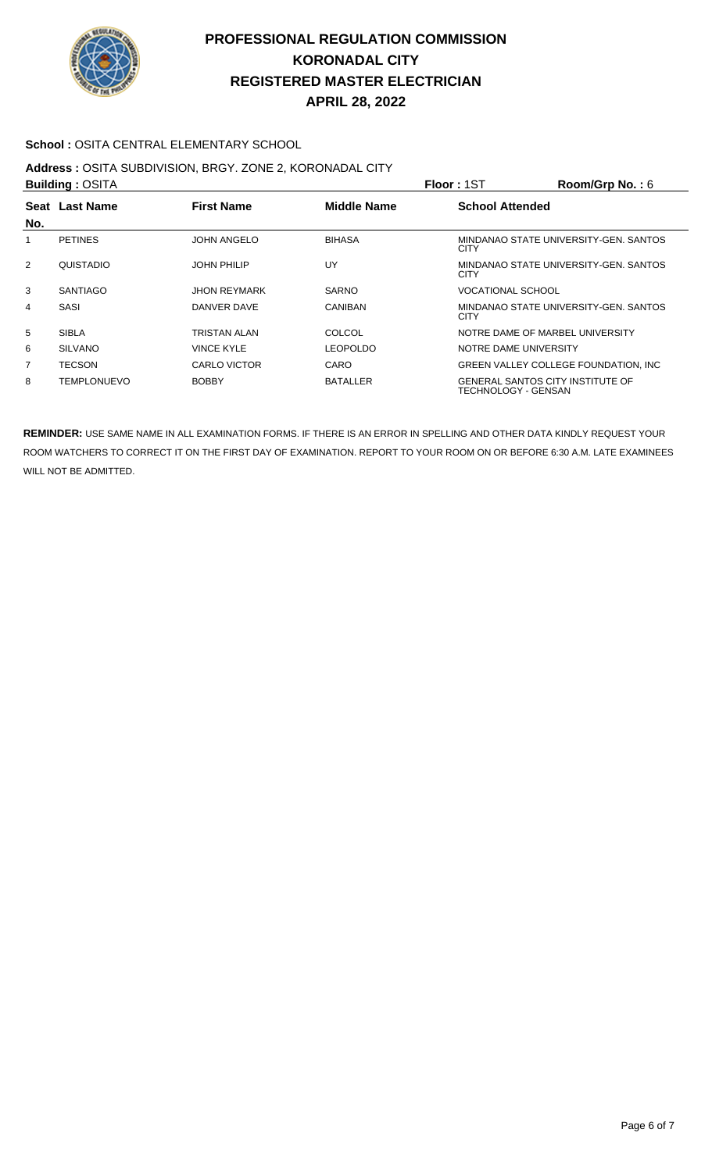

### **School :** OSITA CENTRAL ELEMENTARY SCHOOL

### **Address :** OSITA SUBDIVISION, BRGY. ZONE 2, KORONADAL CITY

| <b>Building: OSITA</b> |                    |                     |                    | <b>Floor: 1ST</b>                                              | Room/Grp No.: $6$                     |
|------------------------|--------------------|---------------------|--------------------|----------------------------------------------------------------|---------------------------------------|
|                        | Seat Last Name     | <b>First Name</b>   | <b>Middle Name</b> | <b>School Attended</b>                                         |                                       |
| No.                    |                    |                     |                    |                                                                |                                       |
| 1                      | <b>PETINES</b>     | <b>JOHN ANGELO</b>  | <b>BIHASA</b>      | CITY                                                           | MINDANAO STATE UNIVERSITY-GEN. SANTOS |
| 2                      | QUISTADIO          | <b>JOHN PHILIP</b>  | UY                 | <b>CITY</b>                                                    | MINDANAO STATE UNIVERSITY-GEN. SANTOS |
| 3                      | <b>SANTIAGO</b>    | <b>JHON REYMARK</b> | <b>SARNO</b>       | <b>VOCATIONAL SCHOOL</b>                                       |                                       |
| 4                      | SASI               | DANVER DAVE         | <b>CANIBAN</b>     | CITY                                                           | MINDANAO STATE UNIVERSITY-GEN, SANTOS |
| 5                      | <b>SIBLA</b>       | <b>TRISTAN ALAN</b> | COLCOL             | NOTRE DAME OF MARBEL UNIVERSITY                                |                                       |
| 6                      | <b>SILVANO</b>     | <b>VINCE KYLE</b>   | <b>LEOPOLDO</b>    | NOTRE DAME UNIVERSITY                                          |                                       |
| 7                      | <b>TECSON</b>      | CARLO VICTOR        | CARO               |                                                                | GREEN VALLEY COLLEGE FOUNDATION, INC  |
| 8                      | <b>TEMPLONUEVO</b> | <b>BOBBY</b>        | <b>BATALLER</b>    | <b>GENERAL SANTOS CITY INSTITUTE OF</b><br>TECHNOLOGY - GENSAN |                                       |